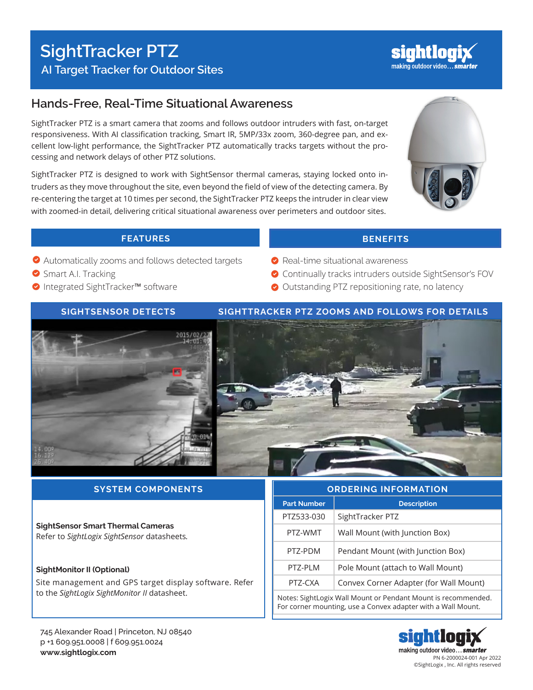

# **Hands-Free, Real-Time Situational Awareness**

SightTracker PTZ is a smart camera that zooms and follows outdoor intruders with fast, on-target responsiveness. With AI classification tracking, Smart IR, 5MP/33x zoom, 360-degree pan, and excellent low-light performance, the SightTracker PTZ automatically tracks targets without the processing and network delays of other PTZ solutions.

SightTracker PTZ is designed to work with SightSensor thermal cameras, staying locked onto intruders as they move throughout the site, even beyond the field of view of the detecting camera. By re-centering the target at 10 times per second, the SightTracker PTZ keeps the intruder in clear view with zoomed-in detail, delivering critical situational awareness over perimeters and outdoor sites.



# **FEATURES BENEFITS**

- Automatically zooms and follows detected targets
- Smart A.I. Tracking
- **O** Integrated SightTracker™ software

# ● Continually tracks intruders outside SightSensor's FOV Outstanding PTZ repositioning rate, no latency

**◆** Real-time situational awareness

# **SIGHTSENSOR DETECTS SIGHTTRACKER PTZ ZOOMS AND FOLLOWS FOR DETAILS**





# **SYSTEM COMPONENTS**

### **SightSensor Smart Thermal Cameras** Refer to *SightLogix SightSensor* datasheets*.*

### **SightMonitor II (Optional)**

Site management and GPS target display software. Refer to the *SightLogix SightMonitor II* datasheet.

#### 745 Alexander Road | Princeton, NJ 08540 p +1 609.951.0008 | f 609.951.0024 **www.sightlogix.com**

| <b>ORDERING INFORMATION</b>                                                                                                   |                                        |
|-------------------------------------------------------------------------------------------------------------------------------|----------------------------------------|
| <b>Part Number</b>                                                                                                            | <b>Description</b>                     |
| PTZ533-030                                                                                                                    | SightTracker PTZ                       |
| PTZ-WMT                                                                                                                       | Wall Mount (with Junction Box)         |
| PT7-PDM                                                                                                                       | Pendant Mount (with Junction Box)      |
| PT7-PI M                                                                                                                      | Pole Mount (attach to Wall Mount)      |
| PTZ-CXA                                                                                                                       | Convex Corner Adapter (for Wall Mount) |
| Notes: SightLogix Wall Mount or Pendant Mount is recommended.<br>For corner mounting, use a Convex adapter with a Wall Mount. |                                        |

m making outdoor video... smarter PN 6-2000024-001 Apr 2022 ©SightLogix , Inc. All rights reserved